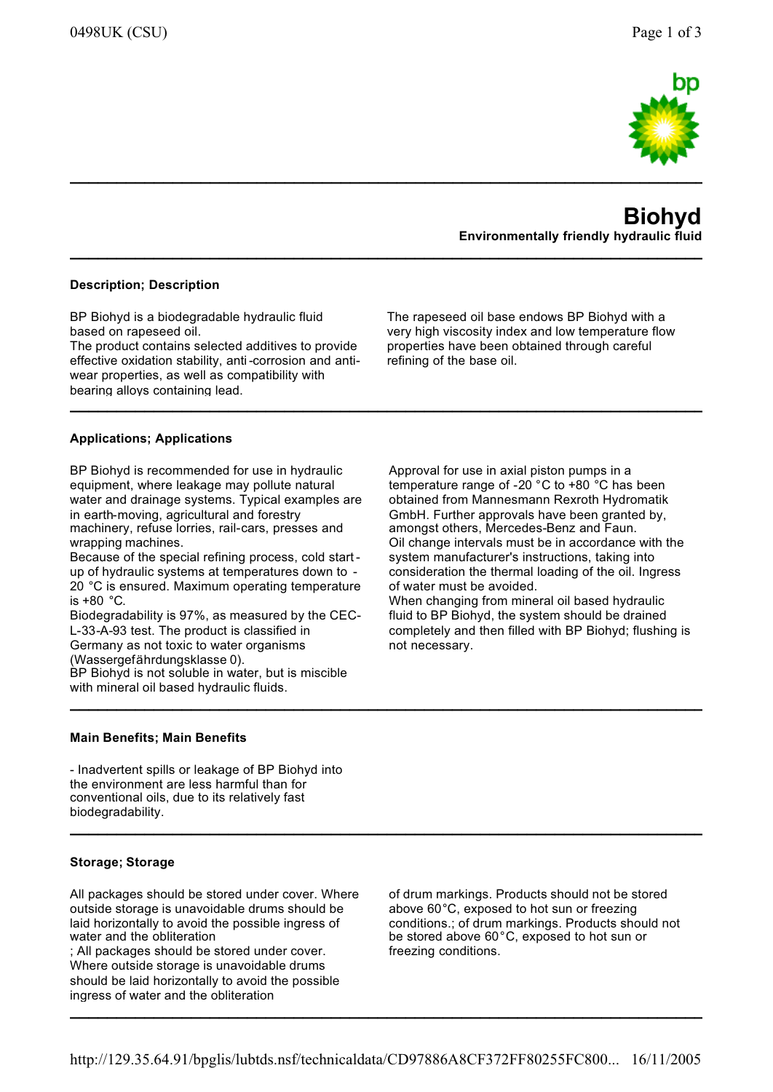

# **BiohydEnvironmentally friendly hydraulic fluid**

# **Description; Description**

BP Biohyd is a biodegradable hydraulic fluid based on rapeseed oil.

 The product contains selected additives to provide effective oxidation stability, anti-corrosion and anti-<br>wear preparties, as well as compatibility with wear properties, as well as compatibility with bearing alloys containing lead.

 very high viscosity index and low temperature flow properties have been obtained through careful refining of the base oil.

The rapeseed oil base endows BP Biohyd with a

**\_\_\_\_\_\_\_\_\_\_\_\_\_\_\_\_\_\_\_\_\_\_\_\_\_\_\_\_\_\_\_\_\_\_\_\_\_\_\_\_\_\_\_\_\_\_\_\_\_\_\_\_\_\_\_\_\_\_\_\_\_\_\_\_\_\_\_\_\_\_\_**

**\_\_\_\_\_\_\_\_\_\_\_\_\_\_\_\_\_\_\_\_\_\_\_\_\_\_\_\_\_\_\_\_\_\_\_\_\_\_\_\_\_\_\_\_\_\_\_\_\_\_\_\_\_\_\_\_\_\_\_\_\_\_\_\_\_\_\_\_\_\_\_\_\_\_\_\_\_\_\_\_**

**\_\_\_\_\_\_\_\_\_\_\_\_\_\_\_\_\_\_\_\_\_\_\_\_\_\_\_\_\_\_\_\_\_\_\_\_\_\_\_\_\_\_\_\_\_\_\_\_\_\_\_\_\_\_\_\_\_\_\_\_\_\_\_\_\_\_\_\_\_\_\_\_\_\_\_\_\_\_\_\_**

**\_\_\_\_\_\_\_\_\_\_\_\_\_\_\_\_\_\_\_\_\_\_\_\_\_\_\_\_\_\_\_\_\_\_\_\_\_\_\_\_\_\_\_\_\_\_\_\_\_\_\_\_\_\_\_\_\_\_\_\_\_\_\_\_\_\_\_\_\_\_\_\_\_\_\_\_\_\_\_\_**

**\_\_\_\_\_\_\_\_\_\_\_\_\_\_\_\_\_\_\_\_\_\_\_\_\_\_\_\_\_\_\_\_\_\_\_\_\_\_\_\_\_\_\_\_\_\_\_\_\_\_\_\_\_\_\_\_\_\_\_\_\_\_\_\_\_\_\_\_\_\_\_\_\_\_\_\_\_\_\_\_**

**\_\_\_\_\_\_\_\_\_\_\_\_\_\_\_\_\_\_\_\_\_\_\_\_\_\_\_\_\_\_\_\_\_\_\_\_\_\_\_\_\_\_\_\_\_\_\_\_\_\_\_\_\_\_\_\_\_\_\_\_\_\_\_\_\_\_\_\_\_\_\_\_\_\_\_\_\_\_\_\_**

# **Applications; Applications**

BP Biohyd is recommended for use in hydraulic equipment, where leakage may pollute natural water and drainage systems. Typical examples are in earth-moving, agricultural and forestry machinery, refuse lorries, rail-cars, presses and wrapping machines.

 Because of the special refining process, cold start up of hydraulic systems at temperatures down to -20 °C is ensured. Maximum operating temperature<br>is 180 °C is +80 °C.

 Biodegradability is 97%, as measured by the CEC-L-33-A-93 test. The product is classified in Germany as not toxic to water organisms

(Wassergefährdungsklasse 0).

 BP Biohyd is not soluble in water, but is miscible with mineral oil based hydraulic fluids.

Approval for use in axial piston pumps in a temperature range of -20 °C to +80 °C has been obtained from Mannesmann Rexroth Hydromatik GmbH. Further approvals have been granted by, amongst others, Mercedes-Benz and Faun. Oil change intervals must be in accordance with thesystem manufacturer's instructions, taking into consideration the thermal loading of the oil. Ingress of water must be avoided.

 When changing from mineral oil based hydraulic fluid to BP Biohyd, the system should be drained completely and then filled with BP Biohyd; flushing is not necessary.

### **Main Benefits; Main Benefits**

- Inadvertent spills or leakage of BP Biohyd into the environment are less harmful than for conventional oils, due to its relatively fast biodegradability.

### **Storage; Storage**

All packages should be stored under cover. Where outside storage is unavoidable drums should be laid horizontally to avoid the possible ingress of water and the obliteration

 ; All packages should be stored under cover. Where outside storage is unavoidable drums should be laid horizontally to avoid the possible ingress of water and the obliteration

of drum markings. Products should not be stored above 60°C, exposed to hot sun or freezing conditions.; of drum markings. Products should not be stored above 60°C, exposed to hot sun or freezing conditions.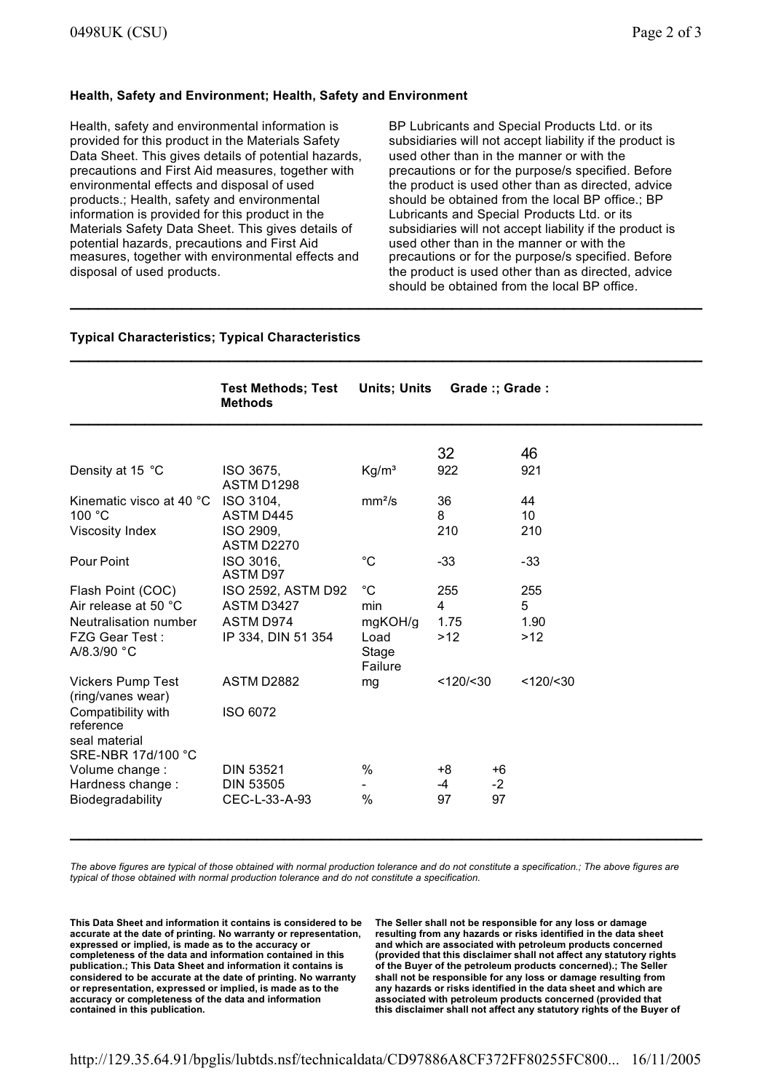# **Health, Safety and Environment; Health, Safety and Environment**

Health, safety and environmental information is provided for this product in the Materials Safety Data Sheet. This gives details of potential hazards, precautions and First Aid measures, together with environmental effects and disposal of used products.; Health, safety and environmental information is provided for this product in the Materials Safety Data Sheet. This gives details of potential hazards, precautions and First Aid measures, together with environmental effects and disposal of used products.

BP Lubricants and Special Products Ltd. or its subsidiaries will not accept liability if the product is used other than in the manner or with the precautions or for the purpose/s specified. Before the product is used other than as directed, advice should be obtained from the local BP office.; BP Lubricants and Special Products Ltd. or its subsidiaries will not accept liability if the product is used other than in the manner or with the precautions or for the purpose/s specified. Before the product is used other than as directed, advice should be obtained from the local BP office.

**\_\_\_\_\_\_\_\_\_\_\_\_\_\_\_\_\_\_\_\_\_\_\_\_\_\_\_\_\_\_\_\_\_\_\_\_\_\_\_\_\_\_\_\_\_\_\_\_\_\_\_\_\_\_\_\_\_\_\_\_\_\_\_\_\_\_\_\_\_\_\_\_\_\_\_\_\_\_\_\_**

### **Typical Characteristics; Typical Characteristics**

|                                                                        | <b>Test Methods; Test</b><br><b>Methods</b> | <b>Units; Units</b>      | Grade:; Grade: |      |            |  |
|------------------------------------------------------------------------|---------------------------------------------|--------------------------|----------------|------|------------|--|
|                                                                        |                                             |                          | 32             |      | 46         |  |
| Density at 15 °C                                                       | ISO 3675,<br><b>ASTM D1298</b>              | Kg/m <sup>3</sup>        | 922            |      | 921        |  |
| Kinematic visco at 40 °C<br>100 $°C$                                   | ISO 3104,<br>ASTM D445                      | mm <sup>2</sup> /s       | 36<br>8        |      | 44<br>10   |  |
| Viscosity Index                                                        | ISO 2909,<br><b>ASTM D2270</b>              |                          | 210            |      | 210        |  |
| Pour Point                                                             | ISO 3016,<br><b>ASTM D97</b>                | $^{\circ}C$              | $-33$          |      | $-33$      |  |
| Flash Point (COC)                                                      | ISO 2592, ASTM D92                          | $^{\circ}C$              | 255            |      | 255        |  |
| Air release at 50 °C                                                   | ASTM D3427                                  | min                      | 4              |      | 5          |  |
| Neutralisation number                                                  | ASTM D974                                   | mgKOH/g                  | 1.75           |      | 1.90       |  |
| <b>FZG Gear Test:</b><br>A/8.3/90 °C                                   | IP 334, DIN 51 354                          | Load<br>Stage<br>Failure | $>12$          |      | >12        |  |
| <b>Vickers Pump Test</b><br>(ring/vanes wear)                          | ASTM D2882                                  | mg                       | <120/ < 30     |      | <120/ < 30 |  |
| Compatibility with<br>reference<br>seal material<br>SRE-NBR 17d/100 °C | ISO 6072                                    |                          |                |      |            |  |
| Volume change :                                                        | <b>DIN 53521</b>                            | $\%$                     | $+8$           | $+6$ |            |  |
| Hardness change:                                                       | <b>DIN 53505</b>                            |                          | $-4$           | $-2$ |            |  |
| Biodegradability                                                       | CEC-L-33-A-93                               | $\frac{0}{0}$            | 97             | 97   |            |  |

*The above figures are typical of those obtained with normal production tolerance and do not constitute a specification.; The above figures are typical of those obtained with normal production tolerance and do not constitute a specification.*

**\_\_\_\_\_\_\_\_\_\_\_\_\_\_\_\_\_\_\_\_\_\_\_\_\_\_\_\_\_\_\_\_\_\_\_\_\_\_\_\_\_\_\_\_\_\_\_\_\_\_\_\_\_\_\_\_\_\_\_\_\_\_\_\_\_\_\_\_\_\_\_\_\_\_\_\_\_\_\_\_**

**This Data Sheet and information it contains is considered to be accurate at the date of printing. No warranty or representation, expressed or implied, is made as to the accuracy or completeness of the data and information contained in this publication.; This Data Sheet and information it contains is considered to be accurate at the date of printing. No warranty or representation, expressed or implied, is made as to the accuracy or completeness of the data and information contained in this publication.**

**The Seller shall not be responsible for any loss or damage resulting from any hazards or risks identified in the data sheet and which are associated with petroleum products concerned (provided that this disclaimer shall not affect any statutory rights of the Buyer of the petroleum products concerned).; The Seller shall not be responsible for any loss or damage resulting from any hazards or risks identified in the data sheet and which are associated with petroleum products concerned (provided that this disclaimer shall not affect any statutory rights of the Buyer of**